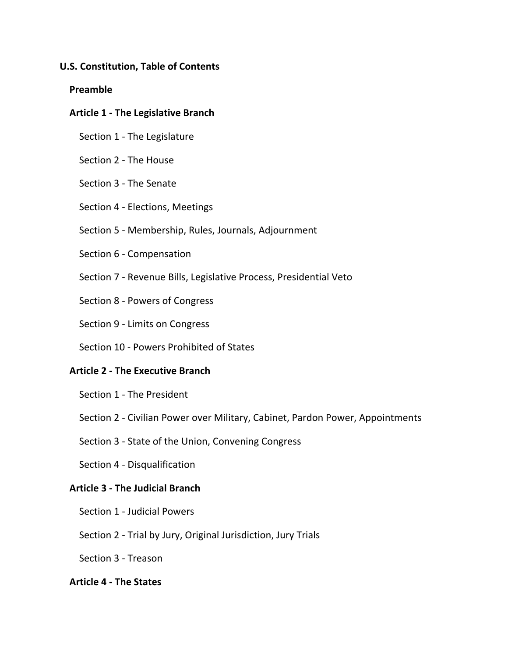# **U.S. Constitution, Table of Contents**

### **Preamble**

### **Article 1 - The Legislative Branch**

- Section 1 The Legislature
- Section 2 The House
- Section 3 The Senate
- Section 4 Elections, Meetings
- Section 5 Membership, Rules, Journals, Adjournment
- Section 6 Compensation
- Section 7 Revenue Bills, Legislative Process, Presidential Veto
- Section 8 Powers of Congress
- Section 9 Limits on Congress
- Section 10 Powers Prohibited of States

# **Article 2 - The Executive Branch**

- Section 1 The President
- Section 2 Civilian Power over Military, Cabinet, Pardon Power, Appointments
- Section 3 State of the Union, Convening Congress
- Section 4 Disqualification

#### **Article 3 - The Judicial Branch**

- Section 1 Judicial Powers
- Section 2 Trial by Jury, Original Jurisdiction, Jury Trials
- Section 3 Treason

## **Article 4 - The States**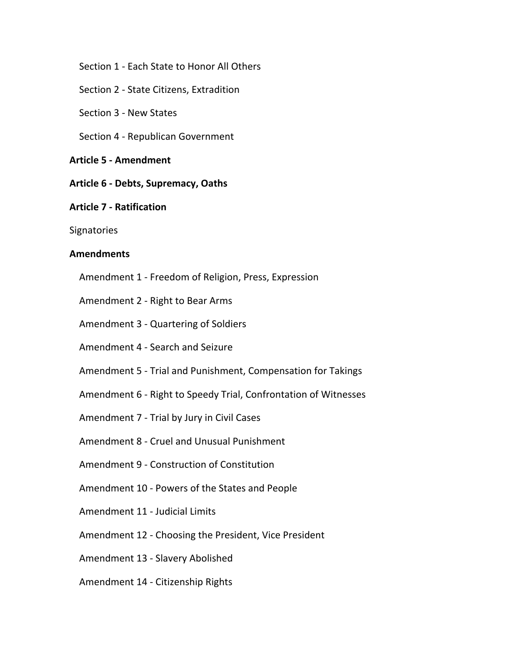Section 1 - Each State to Honor All Others

Section 2 - State Citizens, Extradition

Section 3 - New States

Section 4 - Republican Government

## **Article 5 - Amendment**

 **Article 6 - Debts, Supremacy, Oaths**

### **Article 7 - Ratification**

**Signatories** 

### **Amendments**

Amendment 1 - Freedom of Religion, Press, Expression

Amendment 2 - Right to Bear Arms

Amendment 3 - Quartering of Soldiers

Amendment 4 - Search and Seizure

Amendment 5 - Trial and Punishment, Compensation for Takings

Amendment 6 - Right to Speedy Trial, Confrontation of Witnesses

Amendment 7 - Trial by Jury in Civil Cases

Amendment 8 - Cruel and Unusual Punishment

Amendment 9 - Construction of Constitution

Amendment 10 - Powers of the States and People

Amendment 11 - Judicial Limits

Amendment 12 - Choosing the President, Vice President

Amendment 13 - Slavery Abolished

Amendment 14 - Citizenship Rights